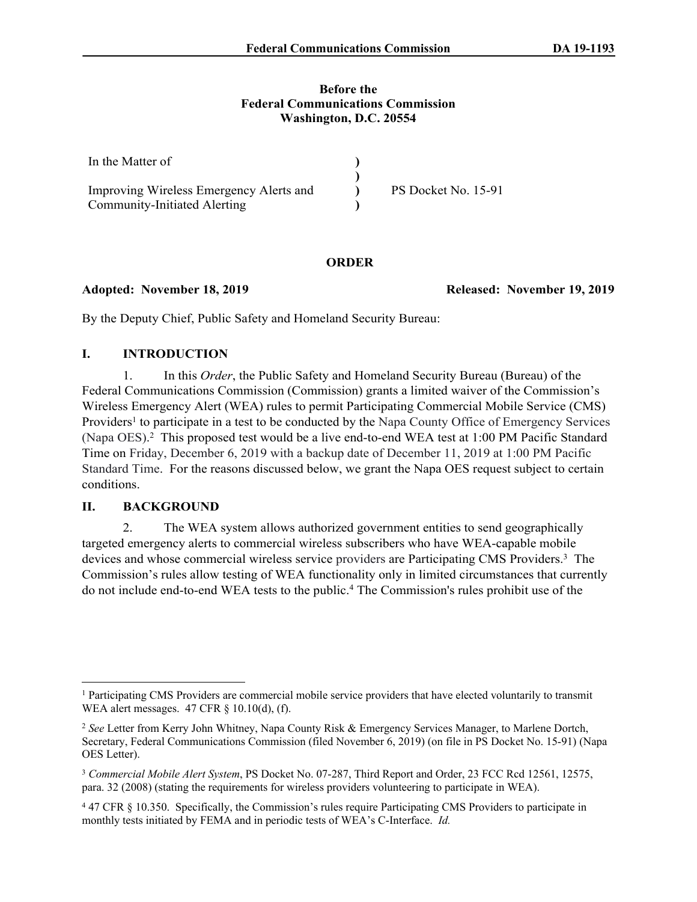#### **Before the Federal Communications Commission Washington, D.C. 20554**

| In the Matter of                        |                     |
|-----------------------------------------|---------------------|
|                                         |                     |
| Improving Wireless Emergency Alerts and | PS Docket No. 15-91 |
| Community-Initiated Alerting            |                     |

### **ORDER**

#### **Adopted: November 18, 2019 Released: November 19, 2019**

By the Deputy Chief, Public Safety and Homeland Security Bureau:

## **I. INTRODUCTION**

1. In this *Order*, the Public Safety and Homeland Security Bureau (Bureau) of the Federal Communications Commission (Commission) grants a limited waiver of the Commission's Wireless Emergency Alert (WEA) rules to permit Participating Commercial Mobile Service (CMS) Providers<sup>1</sup> to participate in a test to be conducted by the Napa County Office of Emergency Services (Napa OES). 2 This proposed test would be a live end-to-end WEA test at 1:00 PM Pacific Standard Time on Friday, December 6, 2019 with a backup date of December 11, 2019 at 1:00 PM Pacific Standard Time. For the reasons discussed below, we grant the Napa OES request subject to certain conditions.

### **II. BACKGROUND**

2. The WEA system allows authorized government entities to send geographically targeted emergency alerts to commercial wireless subscribers who have WEA-capable mobile devices and whose commercial wireless service providers are Participating CMS Providers.<sup>3</sup> The Commission's rules allow testing of WEA functionality only in limited circumstances that currently do not include end-to-end WEA tests to the public.<sup>4</sup> The Commission's rules prohibit use of the

<sup>&</sup>lt;sup>1</sup> Participating CMS Providers are commercial mobile service providers that have elected voluntarily to transmit WEA alert messages. 47 CFR § 10.10(d), [\(f\)](https://1.next.westlaw.com/Link/Document/FullText?findType=L&pubNum=1000547&cite=47CFRS10.10&originatingDoc=Ibfa320bd29dd11e8a2e69b122173a65f&refType=RB&originationContext=document&transitionType=DocumentItem&contextData=(sc.Search)#co_pp_ae0d0000c5150).

<sup>2</sup> *See* Letter from Kerry John Whitney, Napa County Risk & Emergency Services Manager, to Marlene Dortch, Secretary, Federal Communications Commission (filed November 6, 2019) (on file in PS Docket No. 15-91) (Napa OES Letter).

<sup>3</sup> *Commercial Mobile Alert System*, PS Docket No. 07-287, Third Report and Order, 23 FCC Rcd 12561, 12575, para. 32 (2008) (stating the requirements for wireless providers volunteering to participate in WEA).

<sup>4</sup> 47 CFR § 10.350. Specifically, the Commission's rules require Participating CMS Providers to participate in monthly tests initiated by FEMA and in periodic tests of WEA's C-Interface. *Id.*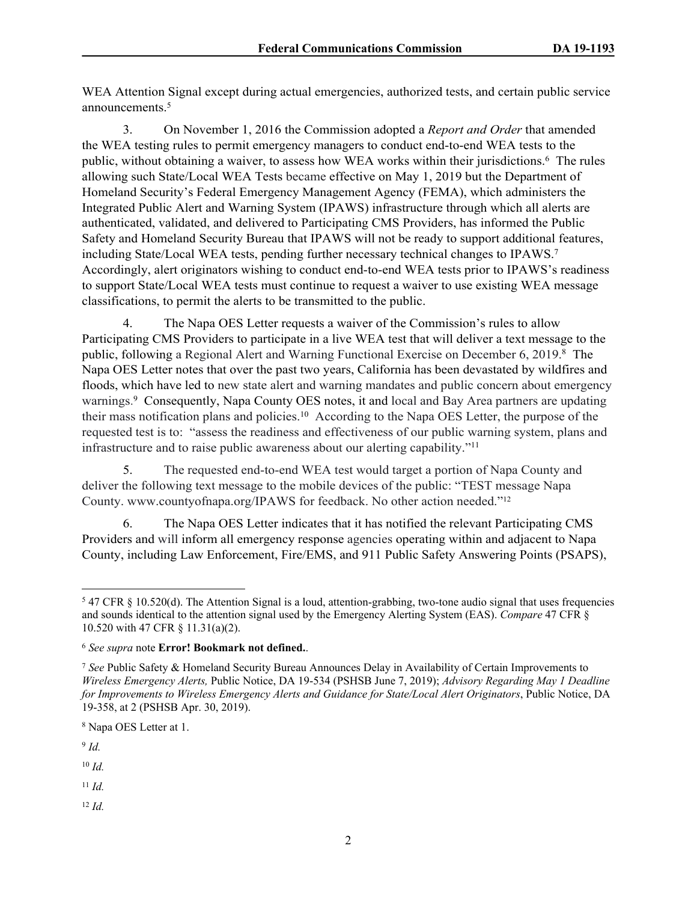WEA Attention Signal except during actual emergencies, authorized tests, and certain public service announcements.<sup>5</sup>

3. On November 1, 2016 the Commission adopted a *Report and Order* that amended the WEA testing rules to permit emergency managers to conduct end-to-end WEA tests to the public, without obtaining a waiver, to assess how WEA works within their jurisdictions.<sup>6</sup> The rules allowing such State/Local WEA Tests became effective on May 1, 2019 but the Department of Homeland Security's Federal Emergency Management Agency (FEMA), which administers the Integrated Public Alert and Warning System (IPAWS) infrastructure through which all alerts are authenticated, validated, and delivered to Participating CMS Providers, has informed the Public Safety and Homeland Security Bureau that IPAWS will not be ready to support additional features, including State/Local WEA tests, pending further necessary technical changes to IPAWS.<sup>7</sup> Accordingly, alert originators wishing to conduct end-to-end WEA tests prior to IPAWS's readiness to support State/Local WEA tests must continue to request a waiver to use existing WEA message classifications, to permit the alerts to be transmitted to the public.

4. The Napa OES Letter requests a waiver of the Commission's rules to allow Participating CMS Providers to participate in a live WEA test that will deliver a text message to the public, following a Regional Alert and Warning Functional Exercise on December 6, 2019.8 The Napa OES Letter notes that over the past two years, California has been devastated by wildfires and floods, which have led to new state alert and warning mandates and public concern about emergency warnings. 9 Consequently, Napa County OES notes, it and local and Bay Area partners are updating their mass notification plans and policies.<sup>10</sup> According to the Napa OES Letter, the purpose of the requested test is to: "assess the readiness and effectiveness of our public warning system, plans and infrastructure and to raise public awareness about our alerting capability."<sup>11</sup>

5. The requested end-to-end WEA test would target a portion of Napa County and deliver the following text message to the mobile devices of the public: "TEST message Napa County. www.countyofnapa.org/IPAWS for feedback. No other action needed."<sup>12</sup>

6. The Napa OES Letter indicates that it has notified the relevant Participating CMS Providers and will inform all emergency response agencies operating within and adjacent to Napa County, including Law Enforcement, Fire/EMS, and 911 Public Safety Answering Points (PSAPS),

8 Napa OES Letter at 1.

9 *Id.*

<sup>10</sup> *Id.*

<sup>11</sup> *Id.*

<sup>12</sup> *Id.*

 $547$  CFR § 10.520(d). The Attention Signal is a loud, attention-grabbing, two-tone audio signal that uses frequencies and sounds identical to the attention signal used by the Emergency Alerting System (EAS). *Compare* 47 CFR § 10.520 with 47 CFR § 11.31(a)(2).

<sup>6</sup> *See supra* note **Error! Bookmark not defined.**.

<sup>7</sup> *See* Public Safety & Homeland Security Bureau Announces Delay in Availability of Certain Improvements to *Wireless Emergency Alerts,* Public Notice, DA 19-534 (PSHSB June 7, 2019); *Advisory Regarding May 1 Deadline for Improvements to Wireless Emergency Alerts and Guidance for State/Local Alert Originators*, Public Notice, DA 19-358, at 2 (PSHSB Apr. 30, 2019).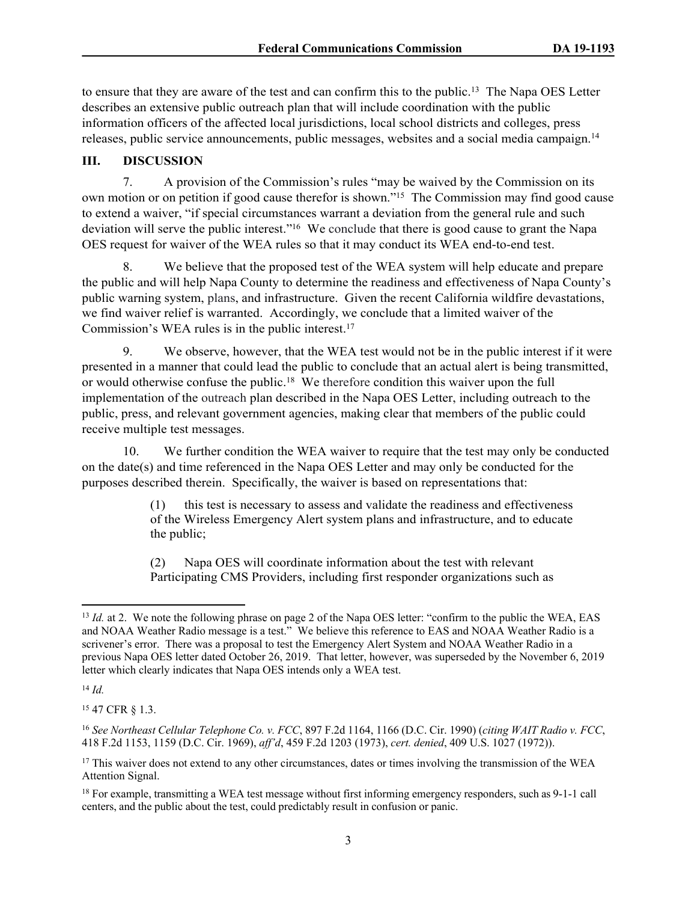to ensure that they are aware of the test and can confirm this to the public.<sup>13</sup> The Napa OES Letter describes an extensive public outreach plan that will include coordination with the public information officers of the affected local jurisdictions, local school districts and colleges, press releases, public service announcements, public messages, websites and a social media campaign.<sup>14</sup>

## **III. DISCUSSION**

7. A provision of the Commission's rules "may be waived by the Commission on its own motion or on petition if good cause therefor is shown."<sup>15</sup> The Commission may find good cause to extend a waiver, "if special circumstances warrant a deviation from the general rule and such deviation will serve the public interest."<sup>16</sup> We conclude that there is good cause to grant the Napa OES request for waiver of the WEA rules so that it may conduct its WEA end-to-end test.

8. We believe that the proposed test of the WEA system will help educate and prepare the public and will help Napa County to determine the readiness and effectiveness of Napa County's public warning system, plans, and infrastructure. Given the recent California wildfire devastations, we find waiver relief is warranted. Accordingly, we conclude that a limited waiver of the Commission's WEA rules is in the public interest.<sup>17</sup>

9. We observe, however, that the WEA test would not be in the public interest if it were presented in a manner that could lead the public to conclude that an actual alert is being transmitted, or would otherwise confuse the public.<sup>18</sup> We therefore condition this waiver upon the full implementation of the outreach plan described in the Napa OES Letter, including outreach to the public, press, and relevant government agencies, making clear that members of the public could receive multiple test messages.

10. We further condition the WEA waiver to require that the test may only be conducted on the date(s) and time referenced in the Napa OES Letter and may only be conducted for the purposes described therein. Specifically, the waiver is based on representations that:

> (1) this test is necessary to assess and validate the readiness and effectiveness of the Wireless Emergency Alert system plans and infrastructure, and to educate the public;

(2) Napa OES will coordinate information about the test with relevant Participating CMS Providers, including first responder organizations such as

<sup>14</sup> *Id.*

<sup>15</sup> 47 CFR § 1.3.

<sup>&</sup>lt;sup>13</sup> *Id.* at 2. We note the following phrase on page 2 of the Napa OES letter: "confirm to the public the WEA, EAS and NOAA Weather Radio message is a test." We believe this reference to EAS and NOAA Weather Radio is a scrivener's error. There was a proposal to test the Emergency Alert System and NOAA Weather Radio in a previous Napa OES letter dated October 26, 2019. That letter, however, was superseded by the November 6, 2019 letter which clearly indicates that Napa OES intends only a WEA test.

<sup>16</sup> *See Northeast Cellular Telephone Co. v. FCC*, 897 F.2d 1164, 1166 (D.C. Cir. 1990) (*citing WAIT Radio v. FCC*, 418 F.2d 1153, 1159 (D.C. Cir. 1969), *aff'd*, 459 F.2d 1203 (1973), *cert. denied*, 409 U.S. 1027 (1972)).

<sup>&</sup>lt;sup>17</sup> This waiver does not extend to any other circumstances, dates or times involving the transmission of the WEA Attention Signal.

<sup>18</sup> For example, transmitting a WEA test message without first informing emergency responders, such as 9-1-1 call centers, and the public about the test, could predictably result in confusion or panic.